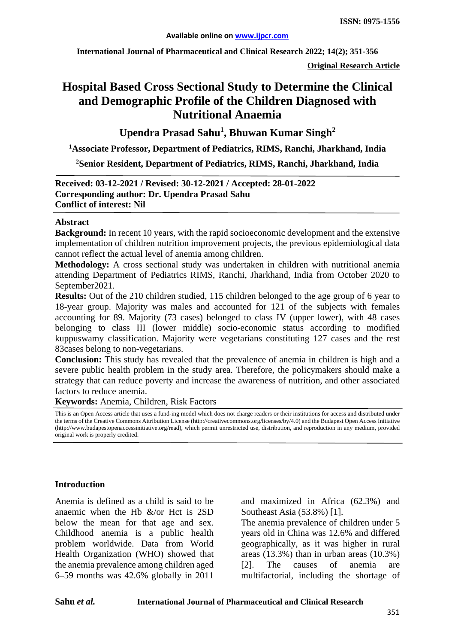**International Journal of Pharmaceutical and Clinical Research 2022; 14(2); 351-356**

**Original Research Article**

# **Hospital Based Cross Sectional Study to Determine the Clinical and Demographic Profile of the Children Diagnosed with Nutritional Anaemia**

**Upendra Prasad Sahu<sup>1</sup> , Bhuwan Kumar Singh2**

**1 Associate Professor, Department of Pediatrics, RIMS, Ranchi, Jharkhand, India**

**2 Senior Resident, Department of Pediatrics, RIMS, Ranchi, Jharkhand, India**

**Received: 03-12-2021 / Revised: 30-12-2021 / Accepted: 28-01-2022 Corresponding author: Dr. Upendra Prasad Sahu Conflict of interest: Nil**

#### **Abstract**

**Background:** In recent 10 years, with the rapid socioeconomic development and the extensive implementation of children nutrition improvement projects, the previous epidemiological data cannot reflect the actual level of anemia among children.

**Methodology:** A cross sectional study was undertaken in children with nutritional anemia attending Department of Pediatrics RIMS, Ranchi, Jharkhand, India from October 2020 to September2021.

**Results:** Out of the 210 children studied, 115 children belonged to the age group of 6 year to 18-year group. Majority was males and accounted for 121 of the subjects with females accounting for 89. Majority (73 cases) belonged to class IV (upper lower), with 48 cases belonging to class III (lower middle) socio-economic status according to modified kuppuswamy classification. Majority were vegetarians constituting 127 cases and the rest 83cases belong to non-vegetarians.

**Conclusion:** This study has revealed that the prevalence of anemia in children is high and a severe public health problem in the study area. Therefore, the policymakers should make a strategy that can reduce poverty and increase the awareness of nutrition, and other associated factors to reduce anemia.

**Keywords:** Anemia, Children, Risk Factors

This is an Open Access article that uses a fund-ing model which does not charge readers or their institutions for access and distributed under the terms of the Creative Commons Attribution License (http://creativecommons.org/licenses/by/4.0) and the Budapest Open Access Initiative (http://www.budapestopenaccessinitiative.org/read), which permit unrestricted use, distribution, and reproduction in any medium, provided original work is properly credited.

#### **Introduction**

Anemia is defined as a child is said to be anaemic when the Hb &/or Hct is 2SD below the mean for that age and sex. Childhood anemia is a public health problem worldwide. Data from World Health Organization (WHO) showed that the anemia prevalence among children aged 6–59 months was 42.6% globally in 2011

and maximized in Africa (62.3%) and Southeast Asia (53.8%) [1].

The anemia prevalence of children under 5 years old in China was 12.6% and differed geographically, as it was higher in rural areas (13.3%) than in urban areas (10.3%) [2]. The causes of anemia are multifactorial, including the shortage of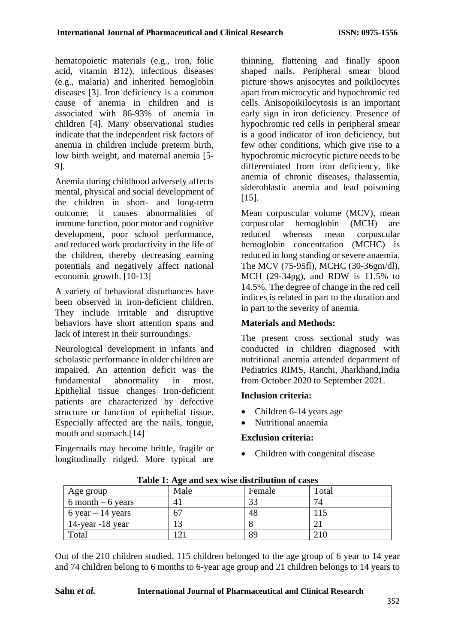hematopoietic materials (e.g., iron, folic acid, vitamin B12), infectious diseases (e.g., malaria) and inherited hemoglobin diseases [3]. Iron deficiency is a common cause of anemia in children and is associated with 86-93% of anemia in children [4]. Many observational studies indicate that the independent risk factors of anemia in children include preterm birth, low birth weight, and maternal anemia [5- 9].

Anemia during childhood adversely affects mental, physical and social development of the children in short- and long-term outcome; it causes abnormalities of immune function, poor motor and cognitive development, poor school performance, and reduced work productivity in the life of the children, thereby decreasing earning potentials and negatively affect national economic growth. [10-13]

A variety of behavioral disturbances have been observed in iron-deficient children. They include irritable and disruptive behaviors have short attention spans and lack of interest in their surroundings.

Neurological development in infants and scholastic performance in older children are impaired. An attention deficit was the fundamental abnormality in most. Epithelial tissue changes Iron-deficient patients are characterized by defective structure or function of epithelial tissue. Especially affected are the nails, tongue, mouth and stomach.[14]

Fingernails may become brittle, fragile or longitudinally ridged. More typical are

thinning, flattening and finally spoon shaped nails. Peripheral smear blood picture shows anisocytes and poikilocytes apart from microcytic and hypochromic red cells. Anisopoikilocytosis is an important early sign in iron deficiency. Presence of hypochromic red cells in peripheral smear is a good indicator of iron deficiency, but few other conditions, which give rise to a hypochromic microcytic picture needs to be differentiated from iron deficiency, like anemia of chronic diseases, thalassemia, sideroblastic anemia and lead poisoning [15].

Mean corpuscular volume (MCV), mean corpuscular hemoglobin (MCH) are reduced whereas mean corpuscular hemoglobin concentration (MCHC) is reduced in long standing or severe anaemia. The MCV (75-95fl), MCHC (30-36gm/dl), MCH (29-34pg), and RDW is 11.5% to 14.5%. The degree of change in the red cell indices is related in part to the duration and in part to the severity of anemia.

# **Materials and Methods:**

The present cross sectional study was conducted in children diagnosed with nutritional anemia attended department of Pediatrics RIMS, Ranchi, Jharkhand,India from October 2020 to September 2021.

# **Inclusion criteria:**

- Children 6-14 years age
- Nutritional anaemia

# **Exclusion criteria:**

• Children with congenital disease

| Age group            | Male       | Female | Total |
|----------------------|------------|--------|-------|
| $6$ month $-6$ years | 41         | 33     | 74    |
| 6 year $-14$ years   | 67         | 48     | 15    |
| 14-year $-18$ year   | $\sqrt{2}$ |        |       |
| Total                | $\bigcap$  | 89     | 210   |

**Table 1: Age and sex wise distribution of cases**

Out of the 210 children studied, 115 children belonged to the age group of 6 year to 14 year and 74 children belong to 6 months to 6-year age group and 21 children belongs to 14 years to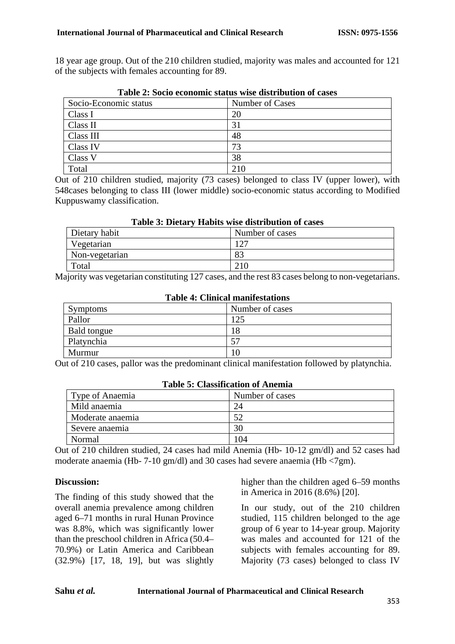18 year age group. Out of the 210 children studied, majority was males and accounted for 121 of the subjects with females accounting for 89.

| Socio-Economic status | Number of Cases |
|-----------------------|-----------------|
| Class I               | 20              |
| Class II              | 31              |
| Class III             | 48              |
| Class IV              | 73              |
| Class V               | 38              |
| Total                 | 210             |

|  |  |  | Table 2: Socio economic status wise distribution of cases |  |  |  |  |  |  |
|--|--|--|-----------------------------------------------------------|--|--|--|--|--|--|
|--|--|--|-----------------------------------------------------------|--|--|--|--|--|--|

Out of 210 children studied, majority (73 cases) belonged to class IV (upper lower), with 548cases belonging to class III (lower middle) socio-economic status according to Modified Kuppuswamy classification.

#### **Table 3: Dietary Habits wise distribution of cases**

| Dietary habit  | Number of cases |
|----------------|-----------------|
| Vegetarian     |                 |
| Non-vegetarian | $\Omega$        |
| Total          |                 |

Majority was vegetarian constituting 127 cases, and the rest 83 cases belong to non-vegetarians.

| Table 4: Chnical manifestations |                 |  |
|---------------------------------|-----------------|--|
| Symptoms                        | Number of cases |  |
| Pallor                          | 125             |  |
| Bald tongue                     | 18              |  |
| Platynchia                      | 57              |  |
| Murmur                          |                 |  |

# **Table 4: Clinical manifestations**

Out of 210 cases, pallor was the predominant clinical manifestation followed by platynchia.

| Type of Anaemia  | Number of cases |  |  |
|------------------|-----------------|--|--|
| Mild anaemia     | 24              |  |  |
| Moderate anaemia | 52              |  |  |
| Severe anaemia   | 30              |  |  |
| Normal           | l 04            |  |  |

#### **Table 5: Classification of Anemia**

Out of 210 children studied, 24 cases had mild Anemia (Hb- 10-12 gm/dl) and 52 cases had moderate anaemia (Hb- 7-10 gm/dl) and 30 cases had severe anaemia (Hb <7gm).

#### **Discussion:**

The finding of this study showed that the overall anemia prevalence among children aged 6–71 months in rural Hunan Province was 8.8%, which was significantly lower than the preschool children in Africa (50.4– 70.9%) or Latin America and Caribbean (32.9%) [17, 18, 19], but was slightly

higher than the children aged 6–59 months in America in 2016 (8.6%) [20].

In our study, out of the 210 children studied, 115 children belonged to the age group of 6 year to 14-year group. Majority was males and accounted for 121 of the subjects with females accounting for 89. Majority (73 cases) belonged to class IV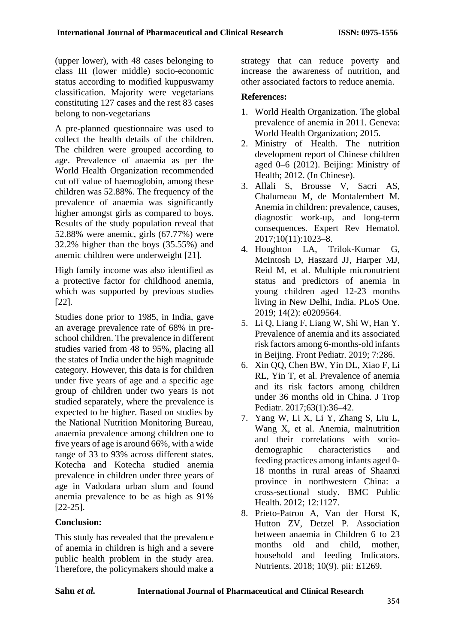(upper lower), with 48 cases belonging to class III (lower middle) socio-economic status according to modified kuppuswamy classification. Majority were vegetarians constituting 127 cases and the rest 83 cases belong to non-vegetarians

A pre-planned questionnaire was used to collect the health details of the children. The children were grouped according to age. Prevalence of anaemia as per the World Health Organization recommended cut off value of haemoglobin, among these children was 52.88%. The frequency of the prevalence of anaemia was significantly higher amongst girls as compared to boys. Results of the study population reveal that 52.88% were anemic, girls (67.77%) were 32.2% higher than the boys (35.55%) and anemic children were underweight [21].

High family income was also identified as a protective factor for childhood anemia, which was supported by previous studies [22].

Studies done prior to 1985, in India, gave an average prevalence rate of 68% in preschool children. The prevalence in different studies varied from 48 to 95%, placing all the states of India under the high magnitude category. However, this data is for children under five years of age and a specific age group of children under two years is not studied separately, where the prevalence is expected to be higher. Based on studies by the National Nutrition Monitoring Bureau, anaemia prevalence among children one to five years of age is around 66%, with a wide range of 33 to 93% across different states. Kotecha and Kotecha studied anemia prevalence in children under three years of age in Vadodara urban slum and found anemia prevalence to be as high as 91% [22-25].

# **Conclusion:**

This study has revealed that the prevalence of anemia in children is high and a severe public health problem in the study area. Therefore, the policymakers should make a strategy that can reduce poverty and increase the awareness of nutrition, and other associated factors to reduce anemia.

# **References:**

- 1. World Health Organization. The global prevalence of anemia in 2011. Geneva: World Health Organization; 2015.
- 2. Ministry of Health. The nutrition development report of Chinese children aged  $0-6$  (2012). Beijing: Ministry of Health; 2012. (In Chinese).
- 3. Allali S, Brousse V, Sacri AS, Chalumeau M, de Montalembert M. Anemia in children: prevalence, causes, diagnostic work-up, and long-term consequences. Expert Rev Hematol. 2017;10(11):1023–8.
- 4. Houghton LA, Trilok-Kumar G, McIntosh D, Haszard JJ, Harper MJ, Reid M, et al. Multiple micronutrient status and predictors of anemia in young children aged 12-23 months living in New Delhi, India. PLoS One. 2019; 14(2): e0209564.
- 5. Li Q, Liang F, Liang W, Shi W, Han Y. Prevalence of anemia and its associated risk factors among 6-months-old infants in Beijing. Front Pediatr. 2019; 7:286.
- 6. Xin QQ, Chen BW, Yin DL, Xiao F, Li RL, Yin T, et al. Prevalence of anemia and its risk factors among children under 36 months old in China. J Trop Pediatr. 2017;63(1):36–42.
- 7. Yang W, Li X, Li Y, Zhang S, Liu L, Wang X, et al. Anemia, malnutrition and their correlations with sociodemographic characteristics and feeding practices among infants aged 0- 18 months in rural areas of Shaanxi province in northwestern China: a cross-sectional study. BMC Public Health. 2012; 12:1127.
- 8. Prieto-Patron A, Van der Horst K, Hutton ZV, Detzel P. Association between anaemia in Children 6 to 23 months old and child, mother, household and feeding Indicators. Nutrients. 2018; 10(9). pii: E1269.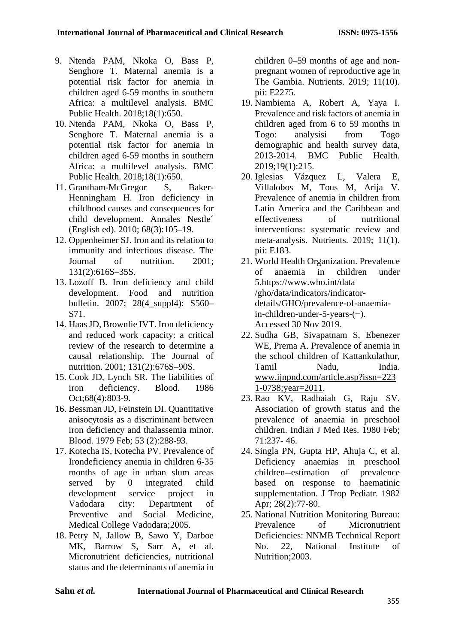- 9. Ntenda PAM, Nkoka O, Bass P, Senghore T. Maternal anemia is a potential risk factor for anemia in children aged 6-59 months in southern Africa: a multilevel analysis. BMC Public Health. 2018;18(1):650.
- 10. Ntenda PAM, Nkoka O, Bass P, Senghore T. Maternal anemia is a potential risk factor for anemia in children aged 6-59 months in southern Africa: a multilevel analysis. BMC Public Health. 2018;18(1):650.
- 11. Grantham-McGregor S, Baker-Henningham H. Iron deficiency in childhood causes and consequences for child development. Annales Nestle´ (English ed). 2010; 68(3):105–19.
- 12. Oppenheimer SJ. Iron and its relation to immunity and infectious disease. The Journal of nutrition. 2001; 131(2):616S–35S.
- 13. Lozoff B. Iron deficiency and child development. Food and nutrition bulletin. 2007; 28(4\_suppl4): S560– S71.
- 14. Haas JD, Brownlie IVT. Iron deficiency and reduced work capacity: a critical review of the research to determine a causal relationship. The Journal of nutrition. 2001; 131(2):676S–90S.
- 15. Cook JD, Lynch SR. The liabilities of iron deficiency. Blood. 1986 Oct;68(4):803-9.
- 16. Bessman JD, Feinstein DI. Quantitative anisocytosis as a discriminant between iron deficiency and thalassemia minor. Blood. 1979 Feb; 53 (2):288-93.
- 17. Kotecha IS, Kotecha PV. Prevalence of Irondeficiency anemia in children 6-35 months of age in urban slum areas served by 0 integrated child development service project in Vadodara city: Department of Preventive and Social Medicine, Medical College Vadodara;2005.
- 18. Petry N, Jallow B, Sawo Y, Darboe MK, Barrow S, Sarr A, et al. Micronutrient deficiencies, nutritional status and the determinants of anemia in

children 0–59 months of age and nonpregnant women of reproductive age in The Gambia. Nutrients. 2019; 11(10). pii: E2275.

- 19. Nambiema A, Robert A, Yaya I. Prevalence and risk factors of anemia in children aged from 6 to 59 months in Togo: analysisi from Togo demographic and health survey data, 2013-2014. BMC Public Health. 2019;19(1):215.
- 20. Iglesias Vázquez L, Valera E, Villalobos M, Tous M, Arija V. Prevalence of anemia in children from Latin America and the Caribbean and effectiveness of nutritional interventions: systematic review and meta-analysis. Nutrients. 2019; 11(1). pii: E183.
- 21. World Health Organization. Prevalence of anaemia in children under 5.https://www.who.int/data /gho/data/indicators/indicatordetails/GHO/prevalence-of-anaemiain-children-under-5-years-(−). Accessed 30 Nov 2019.
- 22. Sudha GB, Sivapatnam S, Ebenezer WE, Prema A. Prevalence of anemia in the school children of Kattankulathur, Tamil Nadu, India. [www.ijnpnd.com/article.asp?issn=223](http://www.ijnpnd.com/article.asp?issn=2231-0738;year=2011) [1-0738;year=2011.](http://www.ijnpnd.com/article.asp?issn=2231-0738;year=2011)
- 23. Rao KV, Radhaiah G, Raju SV. Association of growth status and the prevalence of anaemia in preschool children. Indian J Med Res. 1980 Feb; 71:237- 46.
- 24. Singla PN, Gupta HP, Ahuja C, et al. Deficiency anaemias in preschool children--estimation of prevalence based on response to haematinic supplementation. J Trop Pediatr. 1982 Apr; 28(2):77-80.
- 25. National Nutrition Monitoring Bureau: of Micronutrient Deficiencies: NNMB Technical Report No. 22, National Institute of Nutrition;2003.